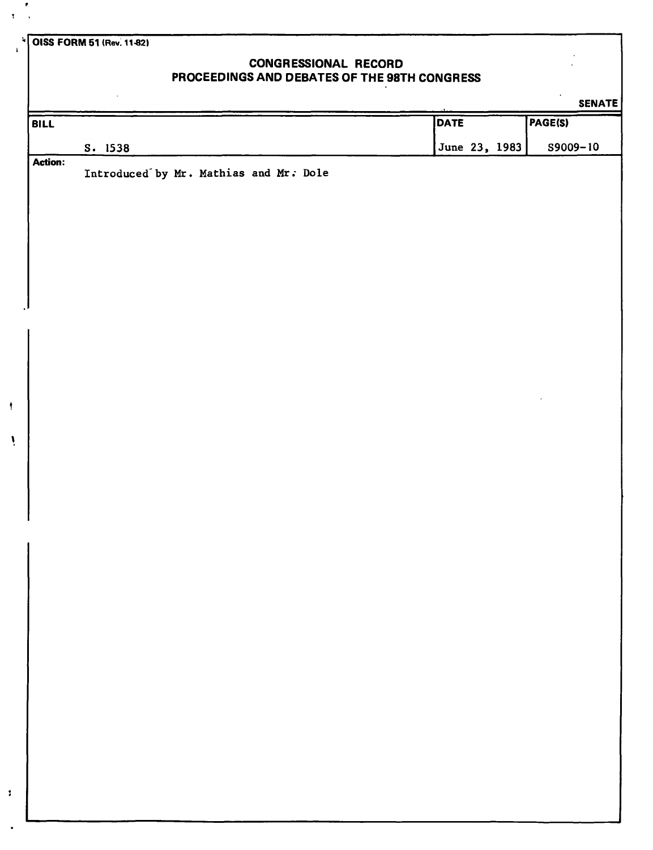**OISS FORM 51 (Rev. 11-82)** 

 $\pmb{\cdot}$ 

 $\mathbf{I}$ 

4

Ņ

 $\pmb{\cdot}$ 

## **CONGRESSIONAL RECORD PROCEEDINGS AND DEBATES OF THE 98TH CONGRESS**

**SENATE BILL S. 1538 DATE**  June 23, 1983 **PAGE(S)**  S9009-10 **Action:**  Introduced by Mr. Mathias and Mr. Dole